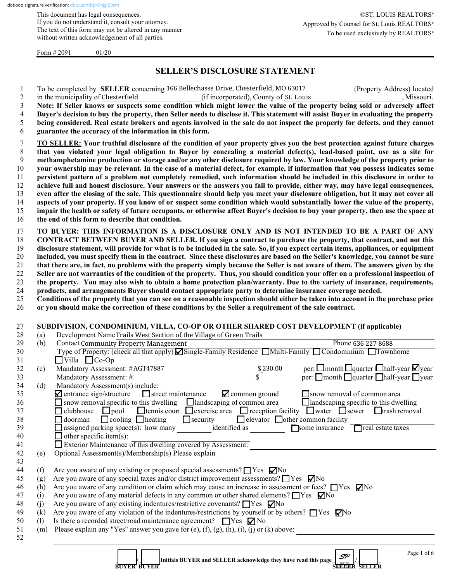This document has legal consequences. If you do not understand it, consult your attorney. The text of this form may not be altered in any manner without written acknowledgement of all parties.

Form  $\# 2091$  01/20

### **SELLER'S DISCLOSURE STATEMENT**

| -1             | To be completed by SELLER concerning 166 Bellechasse Drive, Chesterfield, MO 63017<br>(Property Address) located                     |
|----------------|--------------------------------------------------------------------------------------------------------------------------------------|
| 2              | (if incorporated), County of St. Louis<br>in the municipality of Chesterfield<br>, Missouri.                                         |
| $\mathfrak{Z}$ | Note: If Seller knows or suspects some condition which might lower the value of the property being sold or adversely affect          |
| $\overline{4}$ | Buyer's decision to buy the property, then Seller needs to disclose it. This statement will assist Buyer in evaluating the property  |
| 5              | being considered. Real estate brokers and agents involved in the sale do not inspect the property for defects, and they cannot       |
| 6              | guarantee the accuracy of the information in this form.                                                                              |
| 7              | TO SELLER: Your truthful disclosure of the condition of your property gives you the best protection against future charges           |
| 8              | that you violated your legal obligation to Buyer by concealing a material defect(s), lead-based paint, use as a site for             |
| 9              | methamphetamine production or storage and/or any other disclosure required by law. Your knowledge of the property prior to           |
| 10             | your ownership may be relevant. In the case of a material defect, for example, if information that you possess indicates some        |
| 11             | persistent pattern of a problem not completely remedied, such information should be included in this disclosure in order to          |
| 12             | achieve full and honest disclosure. Your answers or the answers you fail to provide, either way, may have legal consequences,        |
| 13             | even after the closing of the sale. This questionnaire should help you meet your disclosure obligation, but it may not cover all     |
| 14             | aspects of your property. If you know of or suspect some condition which would substantially lower the value of the property,        |
| 15             | impair the health or safety of future occupants, or otherwise affect Buyer's decision to buy your property, then use the space at    |
| 16             | the end of this form to describe that condition.                                                                                     |
| 17             | TO BUYER: THIS INFORMATION IS A DISCLOSURE ONLY AND IS NOT INTENDED TO BE A PART OF ANY                                              |
| 18             | CONTRACT BETWEEN BUYER AND SELLER. If you sign a contract to purchase the property, that contract, and not this                      |
| 19             | disclosure statement, will provide for what is to be included in the sale. So, if you expect certain items, appliances, or equipment |
| 20             | included, you must specify them in the contract. Since these disclosures are based on the Seller's knowledge, you cannot be sure     |
| 21             | that there are, in fact, no problems with the property simply because the Seller is not aware of them. The answers given by the      |
| 22             | Seller are not warranties of the condition of the property. Thus, you should condition your offer on a professional inspection of    |
| 23             | the property. You may also wish to obtain a home protection plan/warranty. Due to the variety of insurance, requirements,            |
| 24             | products, and arrangements Buyer should contact appropriate party to determine insurance coverage needed.                            |
| 25             | Conditions of the property that you can see on a reasonable inspection should either be taken into account in the purchase price     |

26 **or you should make the correction of these conditions by the Seller a requirement of the sale contract.**

## 27 **SUBDIVISION, CONDOMINIUM, VILLA, CO-OP OR OTHER SHARED COST DEVELOPMENT (if applicable)**<br>28 (a) Development NameTrails West Section of the Village of Creen Trails

| 28 | (a) | Development Name Trails West Section of the Village of Green Trails                                                                                   |
|----|-----|-------------------------------------------------------------------------------------------------------------------------------------------------------|
| 29 | (b) | <b>Contact Community Property Management</b><br>Phone 636-227-8688                                                                                    |
| 30 |     | Type of Property: (check all that apply) ØSingle-Family Residence ■Multi-Family ■ Condominium ■ Townhome                                              |
| 31 |     | $\Box$ Villa $\Box$ Co-Op                                                                                                                             |
| 32 | (c) | per: $\square$ month $\square$ quarter $\square$ half-year $\square$ year<br>Mandatory Assessment: #AGT47887<br>\$230.00                              |
| 33 |     | $\Gamma$ per: $\Box$ month $\Box$ quarter $\Box$ half-year $\Box$ year<br>Mandatory Assessment: #.                                                    |
| 34 | (d) | Mandatory Assessment(s) include:                                                                                                                      |
| 35 |     | $\blacksquare$ entrance sign/structure $\blacksquare$ street maintenance<br>$\blacktriangleright$ common ground<br>$\Box$ snow removal of common area |
| 36 |     | $\Box$ snow removal specific to this dwelling $\Box$ landscaping of common area<br>$\Box$ landscaping specific to this dwelling                       |
| 37 |     | $\Box$ clubhouse $\Box$ pool $\Box$ tennis court $\Box$ exercise area $\Box$ reception facility $\Box$ water $\Box$ sewer $\Box$ trash removal        |
| 38 |     | $\Box$ elevator $\Box$ other common facility<br>doorman Cooling heating Security                                                                      |
| 39 |     | identified as<br>$\Box$ assigned parking space(s): how many<br>Some insurance<br>$\Box$ real estate taxes                                             |
| 40 |     | $\Box$ other specific item(s):                                                                                                                        |
| 41 |     | $\Box$ Exterior Maintenance of this dwelling covered by Assessment:                                                                                   |
| 42 | (e) | Optional Assessment(s)/Membership(s) Please explain                                                                                                   |
| 43 |     |                                                                                                                                                       |
| 44 | (f) | Are you aware of any existing or proposed special assessments? $\Box$ Yes $\nabla$ No                                                                 |
| 45 | (g) | Are you aware of any special taxes and/or district improvement assessments? $\Box$ Yes $\nabla$ No                                                    |
| 46 | (h) | Are you aware of any condition or claim which may cause an increase in assessment or fees? $\Box$ Yes $\nabla$ No                                     |
| 47 | (i) | Are you aware of any material defects in any common or other shared elements? $\Box$ Yes $\Box$ No                                                    |
| 48 | (j) | Are you aware of any existing indentures/restrictive covenants? $\Box$ Yes $\nabla$ No                                                                |
| 49 | (k) | Are you aware of any violation of the indentures/restrictions by yourself or by others? $\Box$ Yes $\nabla$ No                                        |
| 50 | (1) | Is there a recorded street/road maintenance agreement? $\Box$ Yes $\nabla$ No                                                                         |
| 51 | (m) | Please explain any "Yes" answer you gave for (e), (f), (g), (h), (i), (j) or (k) above:                                                               |
| 52 |     |                                                                                                                                                       |
|    |     |                                                                                                                                                       |
|    |     | Page 1 of 6<br>co                                                                                                                                     |

 **\_\_\_\_\_\_\_/\_\_\_\_\_\_\_ Initials BUYER and SELLER acknowledge they have read this page\_[\\_\\_\\_\\_\\_\\_\\_](https://dtlp.us/ntBp-Onjg-S3sm)/\_\_\_\_\_\_\_\_**

SP 12/01/21<br>10:44 PM CST<br>Dottoop verified

**BUYER BUYER**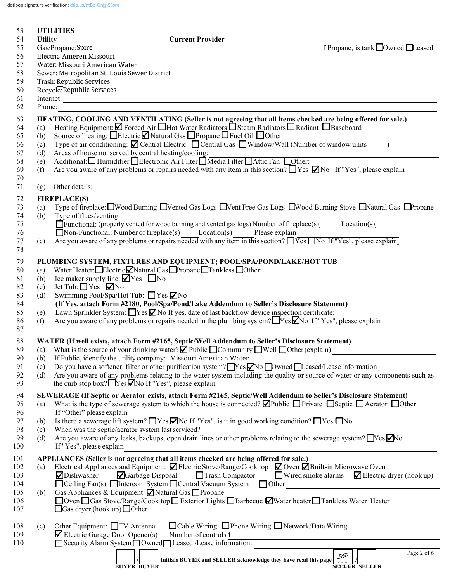dotloop signature verification: [dtlp.us/ntBp-Onjg-S3sm](https://dtlp.us/ntBp-Onjg-S3sm)

| 53         |                                                             | <b>UTILITIES</b>                        |                                                                  |                                                                                        |                                                                                                                                                                                                                |                                                                                                                                             |  |
|------------|-------------------------------------------------------------|-----------------------------------------|------------------------------------------------------------------|----------------------------------------------------------------------------------------|----------------------------------------------------------------------------------------------------------------------------------------------------------------------------------------------------------------|---------------------------------------------------------------------------------------------------------------------------------------------|--|
| 54         | <b>Utility</b>                                              |                                         |                                                                  | <b>Current Provider</b>                                                                |                                                                                                                                                                                                                |                                                                                                                                             |  |
| 55         |                                                             | Gas/Propane:Spire                       |                                                                  |                                                                                        |                                                                                                                                                                                                                | if Propane, is tank □ Owned □ Leased                                                                                                        |  |
| 56         | Electric: Ameren Missouri<br>Water: Missouri American Water |                                         |                                                                  |                                                                                        |                                                                                                                                                                                                                |                                                                                                                                             |  |
| 57<br>58   |                                                             |                                         | Sewer: Metropolitan St. Louis Sewer District                     |                                                                                        |                                                                                                                                                                                                                |                                                                                                                                             |  |
| 59         |                                                             | Trash: Republic Services                |                                                                  |                                                                                        |                                                                                                                                                                                                                |                                                                                                                                             |  |
| 60         |                                                             | Recycle: Republic Services              |                                                                  |                                                                                        |                                                                                                                                                                                                                |                                                                                                                                             |  |
| 61         |                                                             |                                         |                                                                  | Internet:                                                                              |                                                                                                                                                                                                                |                                                                                                                                             |  |
| 62         | Phone:                                                      |                                         |                                                                  |                                                                                        |                                                                                                                                                                                                                |                                                                                                                                             |  |
| 63         |                                                             |                                         |                                                                  |                                                                                        |                                                                                                                                                                                                                | HEATING, COOLING AND VENTILATING (Seller is not agreeing that all items checked are being offered for sale.)                                |  |
| 64         | (a)                                                         |                                         |                                                                  |                                                                                        | Heating Equipment: $\Box$ Forced Air $\Box$ Hot Water Radiators $\Box$ Steam Radiators $\Box$ Radiant $\Box$ Baseboard                                                                                         |                                                                                                                                             |  |
| 65         | (b)                                                         |                                         |                                                                  | Source of heating: □ElectricⅠ Natural Gas □ Propane □ Fuel Oil □ Other                 |                                                                                                                                                                                                                |                                                                                                                                             |  |
| 66         | (c)                                                         |                                         |                                                                  |                                                                                        |                                                                                                                                                                                                                | Type of air conditioning: $\Box$ Central Electric $\Box$ Central Gas $\Box$ Window/Wall (Number of window units )                           |  |
| 67         | (d)                                                         |                                         | Areas of house not served by central heating/cooling:            |                                                                                        |                                                                                                                                                                                                                |                                                                                                                                             |  |
| 68         | (e)                                                         |                                         |                                                                  |                                                                                        | Additional: Humidifier Electronic Air Filter Media Filter Attic Fan Dother:                                                                                                                                    |                                                                                                                                             |  |
| 69         | (f)                                                         |                                         |                                                                  |                                                                                        |                                                                                                                                                                                                                | Are you aware of any problems or repairs needed with any item in this section? $\Box$ Yes $\Box$ No If "Yes", please explain                |  |
| 70         |                                                             |                                         |                                                                  |                                                                                        | the control of the control of the control of the control of the control of the control of                                                                                                                      |                                                                                                                                             |  |
| 71         | (g)                                                         | Other details:                          |                                                                  |                                                                                        | the control of the control of the control of the control of the control of the control of                                                                                                                      |                                                                                                                                             |  |
| 72         |                                                             | <b>FIREPLACE(S)</b>                     |                                                                  |                                                                                        |                                                                                                                                                                                                                |                                                                                                                                             |  |
| 73         | (a)                                                         |                                         |                                                                  |                                                                                        |                                                                                                                                                                                                                | Type of fireplace: IWood Burning IVented Gas Logs IVent Free Gas Logs IWood Burning Stove INatural Gas IPropane                             |  |
| 74         | (b)                                                         | Type of flues/venting:                  |                                                                  |                                                                                        |                                                                                                                                                                                                                |                                                                                                                                             |  |
| 75         |                                                             |                                         |                                                                  |                                                                                        |                                                                                                                                                                                                                | $\Box$ Functional: (properly vented for wood burning and vented gas logs) Number of fireplace(s) Location(s)                                |  |
| 76         |                                                             |                                         |                                                                  | Non-Functional: Number of fireplace(s) Location(s) Please explain                      |                                                                                                                                                                                                                |                                                                                                                                             |  |
| 77<br>78   | (c)                                                         |                                         |                                                                  |                                                                                        |                                                                                                                                                                                                                | Are you aware of any problems or repairs needed with any item in this section? $\Box$ Yes $\Box$ No If "Yes", please explain                |  |
|            |                                                             |                                         |                                                                  |                                                                                        |                                                                                                                                                                                                                |                                                                                                                                             |  |
| 79         |                                                             |                                         |                                                                  |                                                                                        | PLUMBING SYSTEM, FIXTURES AND EQUIPMENT; POOL/SPA/POND/LAKE/HOT TUB                                                                                                                                            |                                                                                                                                             |  |
| 80         | (a)                                                         |                                         | Ice maker supply line: $\blacksquare$ Yes $\blacksquare$ No      | Water Heater: Electric Natural Gas Propane Tankless Other:                             |                                                                                                                                                                                                                | <u> 1980 - John Stein, Amerikaansk politiker (</u>                                                                                          |  |
| 81<br>82   | (b)<br>(c)                                                  | Jet Tub: $\Box$ Yes $\nabla$ No         |                                                                  |                                                                                        |                                                                                                                                                                                                                |                                                                                                                                             |  |
| 83         | (d)                                                         |                                         | Swimming Pool/Spa/Hot Tub: ■ Yes ■ No                            |                                                                                        |                                                                                                                                                                                                                |                                                                                                                                             |  |
| 84         |                                                             |                                         |                                                                  |                                                                                        | (If Yes, attach Form #2180, Pool/Spa/Pond/Lake Addendum to Seller's Disclosure Statement)                                                                                                                      |                                                                                                                                             |  |
| 85         | (e)                                                         |                                         |                                                                  |                                                                                        | Lawn Sprinkler System: $\Box$ Yes $\Box$ No If yes, date of last backflow device inspection certificate:                                                                                                       |                                                                                                                                             |  |
| 86         | (f)                                                         |                                         |                                                                  |                                                                                        |                                                                                                                                                                                                                | Are you aware of any problems or repairs needed in the plumbing system? $\Box$ Yes $\Box$ No If "Yes", please explain                       |  |
| 87         |                                                             |                                         |                                                                  |                                                                                        |                                                                                                                                                                                                                |                                                                                                                                             |  |
| 88         |                                                             |                                         |                                                                  |                                                                                        | WATER (If well exists, attach Form #2165, Septic/Well Addendum to Seller's Disclosure Statement)                                                                                                               |                                                                                                                                             |  |
| 89         |                                                             |                                         |                                                                  |                                                                                        | (a) What is the source of your drinking water? $\Box$ Public $\Box$ Community $\Box$ Well $\Box$ Other (explain)                                                                                               |                                                                                                                                             |  |
| 90         | (b)                                                         |                                         |                                                                  | If Public, identify the utility company: Missouri American Water                       |                                                                                                                                                                                                                |                                                                                                                                             |  |
| 91         | (c)                                                         |                                         |                                                                  |                                                                                        | Do you have a softener, filter or other purification system? $Yes$ No Dwned Leased/Lease Information                                                                                                           |                                                                                                                                             |  |
| 92         | (d)                                                         |                                         |                                                                  |                                                                                        |                                                                                                                                                                                                                | Are you aware of any problems relating to the water system including the quality or source of water or any components such as               |  |
| 93         |                                                             |                                         | the curb stop box? $\Box$ Yes $\Box$ No If "Yes", please explain |                                                                                        |                                                                                                                                                                                                                |                                                                                                                                             |  |
| 94         |                                                             |                                         |                                                                  |                                                                                        |                                                                                                                                                                                                                | SEWERAGE (If Septic or Aerator exists, attach Form #2165, Septic/Well Addendum to Seller's Disclosure Statement)                            |  |
| 95         | (a)                                                         |                                         |                                                                  |                                                                                        |                                                                                                                                                                                                                | What is the type of sewerage system to which the house is connected? $\Box$ Public $\Box$ Private $\Box$ Septic $\Box$ Aerator $\Box$ Other |  |
| 96         |                                                             | If "Other" please explain               |                                                                  |                                                                                        |                                                                                                                                                                                                                |                                                                                                                                             |  |
| 97<br>98   | (b)                                                         |                                         | When was the septic/aerator system last serviced?                |                                                                                        | Is there a sewerage lift system? $\Box$ Yes $\Box$ No If "Yes", is it in good working condition? $\Box$ Yes $\Box$ No                                                                                          |                                                                                                                                             |  |
| 99         | (c)<br>(d)                                                  |                                         |                                                                  |                                                                                        |                                                                                                                                                                                                                | Are you aware of any leaks, backups, open drain lines or other problems relating to the sewerage system? $\Box$ Yes $\Box$ No               |  |
| 100        |                                                             | If "Yes", please explain                |                                                                  |                                                                                        |                                                                                                                                                                                                                |                                                                                                                                             |  |
|            |                                                             |                                         |                                                                  |                                                                                        |                                                                                                                                                                                                                |                                                                                                                                             |  |
| 101<br>102 | (a)                                                         |                                         |                                                                  |                                                                                        | APPLIANCES (Seller is not agreeing that all items checked are being offered for sale.)<br>Electrical Appliances and Equipment: $\Box$ Electric Stove/Range/Cook top $\Box$ Oven $\Box$ Built-in Microwave Oven |                                                                                                                                             |  |
| 103        |                                                             | <b>⊘</b> Dishwasher                     | Garbage Disposal                                                 | Trash Compactor                                                                        |                                                                                                                                                                                                                | $\Box$ Wired smoke alarms $\Box$ Electric dryer (hook up)                                                                                   |  |
| 104        |                                                             |                                         |                                                                  | $\Box$ Ceiling Fan(s) $\Box$ Intercom System $\Box$ Central Vacuum System $\Box$ Other |                                                                                                                                                                                                                | <u> 1986 - Jan Barbara Barbara, prima prima prima prima prima prima prima prima prima prima prima prima prima pri</u>                       |  |
| 105        | (b)                                                         |                                         |                                                                  | Gas Appliances & Equipment: Ø Natural Gas □ Propane                                    |                                                                                                                                                                                                                |                                                                                                                                             |  |
| 106        |                                                             |                                         |                                                                  |                                                                                        |                                                                                                                                                                                                                | □ Oven □ Gas Stove/Range/Cook top □ Exterior Lights □ Barbecue ■ Water heater □ Tankless Water Heater                                       |  |
| 107        |                                                             | $\Box$ Gas dryer (hook up) $\Box$ Other |                                                                  |                                                                                        |                                                                                                                                                                                                                |                                                                                                                                             |  |
|            |                                                             |                                         |                                                                  |                                                                                        |                                                                                                                                                                                                                |                                                                                                                                             |  |
| 108        | (c)                                                         | Other Equipment: □TV Antenna            |                                                                  |                                                                                        | □ Cable Wiring □ Phone Wiring □ Network/Data Wiring                                                                                                                                                            |                                                                                                                                             |  |
| 109        |                                                             |                                         | $\blacktriangleright$ Electric Garage Door Opener(s)             | Number of controls 1                                                                   |                                                                                                                                                                                                                |                                                                                                                                             |  |
| 110        |                                                             |                                         |                                                                  | Security Alarm System Owned Leased /Lease information:                                 |                                                                                                                                                                                                                |                                                                                                                                             |  |
|            |                                                             |                                         |                                                                  |                                                                                        | Initials BUYER and SELLER acknowledge they have read this page                                                                                                                                                 | Page 2 of 6<br>SP                                                                                                                           |  |
|            |                                                             |                                         | <b>BUYER BUYER</b>                                               |                                                                                        |                                                                                                                                                                                                                | <b>SELTER SELLER</b>                                                                                                                        |  |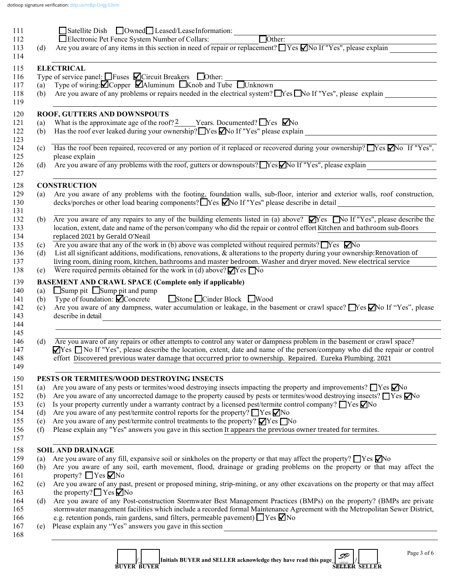|                   | Satellite Dish Owned Leased/LeaseInformation:                                                                                                                                                                                                                                                                                                                                                                                                                                                                                                                                                                                                                                                                                                                          |
|-------------------|------------------------------------------------------------------------------------------------------------------------------------------------------------------------------------------------------------------------------------------------------------------------------------------------------------------------------------------------------------------------------------------------------------------------------------------------------------------------------------------------------------------------------------------------------------------------------------------------------------------------------------------------------------------------------------------------------------------------------------------------------------------------|
|                   | $\Box$ Other:<br>Electronic Pet Fence System Number of Collars:<br>Are you aware of any items in this section in need of repair or replacement? $\Box$ Yes $\Box$ No If "Yes", please explain                                                                                                                                                                                                                                                                                                                                                                                                                                                                                                                                                                          |
| (d)               |                                                                                                                                                                                                                                                                                                                                                                                                                                                                                                                                                                                                                                                                                                                                                                        |
|                   | <b>ELECTRICAL</b>                                                                                                                                                                                                                                                                                                                                                                                                                                                                                                                                                                                                                                                                                                                                                      |
|                   | Type of service panel: $\Box$ Fuses $\Box$ Circuit Breakers $\Box$ Other: $\Box$ Type of wiring: $\Box$ Copper $\Box$ Aluminum $\Box$ Knob and Tube $\Box$ Unknown                                                                                                                                                                                                                                                                                                                                                                                                                                                                                                                                                                                                     |
|                   |                                                                                                                                                                                                                                                                                                                                                                                                                                                                                                                                                                                                                                                                                                                                                                        |
| (b)               | Are you aware of any problems or repairs needed in the electrical system? $\Box$ Yes $\Box$ No If "Yes", please explain                                                                                                                                                                                                                                                                                                                                                                                                                                                                                                                                                                                                                                                |
|                   | ROOF, GUTTERS AND DOWNSPOUTS                                                                                                                                                                                                                                                                                                                                                                                                                                                                                                                                                                                                                                                                                                                                           |
| (a)               | What is the approximate age of the roof? $\frac{2}{2}$ Years. Documented? $\Box$ Yes $\Box$ No                                                                                                                                                                                                                                                                                                                                                                                                                                                                                                                                                                                                                                                                         |
| (b)               | Has the roof ever leaked during your ownership? Yes Mo If "Yes" please explain                                                                                                                                                                                                                                                                                                                                                                                                                                                                                                                                                                                                                                                                                         |
| (c)               | Has the roof been repaired, recovered or any portion of it replaced or recovered during your ownership? Nes Mo If "Yes",<br>please explain                                                                                                                                                                                                                                                                                                                                                                                                                                                                                                                                                                                                                             |
| (d)               | please explain<br>Are you aware of any problems with the roof, gutters or downspouts? No Sext No If "Yes", please explain                                                                                                                                                                                                                                                                                                                                                                                                                                                                                                                                                                                                                                              |
|                   | <b>CONSTRUCTION</b>                                                                                                                                                                                                                                                                                                                                                                                                                                                                                                                                                                                                                                                                                                                                                    |
| (a)               | Are you aware of any problems with the footing, foundation walls, sub-floor, interior and exterior walls, roof construction,                                                                                                                                                                                                                                                                                                                                                                                                                                                                                                                                                                                                                                           |
|                   | decks/porches or other load bearing components? Nes Mo If "Yes" please describe in detail<br><u> 1980 - Andrea Andrew Maria (b. 1980)</u>                                                                                                                                                                                                                                                                                                                                                                                                                                                                                                                                                                                                                              |
| (b)               | Are you aware of any repairs to any of the building elements listed in (a) above? $\Box$ Yes $\Box$ No If "Yes", please describe the                                                                                                                                                                                                                                                                                                                                                                                                                                                                                                                                                                                                                                   |
|                   | location, extent, date and name of the person/company who did the repair or control effort Kitchen and bathroom sub-floors                                                                                                                                                                                                                                                                                                                                                                                                                                                                                                                                                                                                                                             |
|                   | replaced 2021 by Gerald O'Neail                                                                                                                                                                                                                                                                                                                                                                                                                                                                                                                                                                                                                                                                                                                                        |
| (c)               | Are you aware that any of the work in (b) above was completed without required permits? $\Box$ Yes $\nabla$ No                                                                                                                                                                                                                                                                                                                                                                                                                                                                                                                                                                                                                                                         |
| (d)               | List all significant additions, modifications, renovations, & alterations to the property during your ownership: Renovation of                                                                                                                                                                                                                                                                                                                                                                                                                                                                                                                                                                                                                                         |
|                   | living room, dining room, kitchen, bathrooms and master bedroom. Washer and dryer moved. New electrical service                                                                                                                                                                                                                                                                                                                                                                                                                                                                                                                                                                                                                                                        |
|                   |                                                                                                                                                                                                                                                                                                                                                                                                                                                                                                                                                                                                                                                                                                                                                                        |
|                   | Were required permits obtained for the work in (d) above? $\Box$ Yes $\Box$ No                                                                                                                                                                                                                                                                                                                                                                                                                                                                                                                                                                                                                                                                                         |
| (e)               |                                                                                                                                                                                                                                                                                                                                                                                                                                                                                                                                                                                                                                                                                                                                                                        |
|                   | <b>BASEMENT AND CRAWL SPACE (Complete only if applicable)</b>                                                                                                                                                                                                                                                                                                                                                                                                                                                                                                                                                                                                                                                                                                          |
| (a)               | $\Box$ Sump pit $\Box$ Sump pit and pump                                                                                                                                                                                                                                                                                                                                                                                                                                                                                                                                                                                                                                                                                                                               |
| (b)               | Stone Cinder Block Wood<br>Type of foundation: $\blacksquare$ Concrete                                                                                                                                                                                                                                                                                                                                                                                                                                                                                                                                                                                                                                                                                                 |
| (c)               |                                                                                                                                                                                                                                                                                                                                                                                                                                                                                                                                                                                                                                                                                                                                                                        |
|                   | describe in detail<br><u> 1989 - Andrea Stadt Britain, amerikan bestean ingila (h. 1989).</u>                                                                                                                                                                                                                                                                                                                                                                                                                                                                                                                                                                                                                                                                          |
|                   |                                                                                                                                                                                                                                                                                                                                                                                                                                                                                                                                                                                                                                                                                                                                                                        |
|                   | Are you aware of any repairs or other attempts to control any water or dampness problem in the basement or crawl space?<br>effort Discovered previous water damage that occurred prior to ownership. Repaired. Eureka Plumbing. 2021                                                                                                                                                                                                                                                                                                                                                                                                                                                                                                                                   |
| (d)               |                                                                                                                                                                                                                                                                                                                                                                                                                                                                                                                                                                                                                                                                                                                                                                        |
|                   | PESTS OR TERMITES/WOOD DESTROYING INSECTS                                                                                                                                                                                                                                                                                                                                                                                                                                                                                                                                                                                                                                                                                                                              |
| (a)               | Are you aware of any pests or termites/wood destroying insects impacting the property and improvements? $\Box$ Yes $\Box$ No                                                                                                                                                                                                                                                                                                                                                                                                                                                                                                                                                                                                                                           |
| (b)               | Are you aware of any uncorrected damage to the property caused by pests or termites/wood destroying insects? $\Box$ Yes $\Box$ No                                                                                                                                                                                                                                                                                                                                                                                                                                                                                                                                                                                                                                      |
| (c)               | Is your property currently under a warranty contract by a licensed pest/termite control company? $\Box$ Yes $\Box$ No                                                                                                                                                                                                                                                                                                                                                                                                                                                                                                                                                                                                                                                  |
| (d)               | Are you aware of any pest/termite control reports for the property? $\Box$ Yes $\Box$ No                                                                                                                                                                                                                                                                                                                                                                                                                                                                                                                                                                                                                                                                               |
|                   | Are you aware of any pest/termite control treatments to the property? $\blacksquare$ Yes $\blacksquare$ No<br>Please explain any "Yes" answers you gave in this section It appears the previous owner treated for termites.                                                                                                                                                                                                                                                                                                                                                                                                                                                                                                                                            |
|                   | <b>SOIL AND DRAINAGE</b>                                                                                                                                                                                                                                                                                                                                                                                                                                                                                                                                                                                                                                                                                                                                               |
| (e)<br>(f)<br>(a) | Are you aware of any fill, expansive soil or sinkholes on the property or that may affect the property? $\Box$ Yes $\Box$ No                                                                                                                                                                                                                                                                                                                                                                                                                                                                                                                                                                                                                                           |
| (b)               | property? $\Box$ Yes $\nabla$ No                                                                                                                                                                                                                                                                                                                                                                                                                                                                                                                                                                                                                                                                                                                                       |
| (c)               | the property? $\Box$ Yes $\Box$ No                                                                                                                                                                                                                                                                                                                                                                                                                                                                                                                                                                                                                                                                                                                                     |
| (d)               |                                                                                                                                                                                                                                                                                                                                                                                                                                                                                                                                                                                                                                                                                                                                                                        |
|                   |                                                                                                                                                                                                                                                                                                                                                                                                                                                                                                                                                                                                                                                                                                                                                                        |
|                   | Are you aware of any dampness, water accumulation or leakage, in the basement or crawl space? No If "Yes", please<br>⊠Yes □ No If "Yes", please describe the location, extent, date and name of the person/company who did the repair or control<br>Are you aware of any soil, earth movement, flood, drainage or grading problems on the property or that may affect the<br>Are you aware of any past, present or proposed mining, strip-mining, or any other excavations on the property or that may affect<br>Are you aware of any Post-construction Stormwater Best Management Practices (BMPs) on the property? (BMPs are private<br>stormwater management facilities which include a recorded formal Maintenance Agreement with the Metropolitan Sewer District, |
| (e)               | e.g. retention ponds, rain gardens, sand filters, permeable pavement) TYes ZNo<br>Please explain any "Yes" answers you gave in this section<br><u> 1980 - Jan Sterling Sterling, statistik fotograf i statistik fotograf i statistik fotograf i statistik fotogr</u>                                                                                                                                                                                                                                                                                                                                                                                                                                                                                                   |

**1**  $\begin{bmatrix} 1 \\ 1 \end{bmatrix}$  Initials BUYER and SELLER acknowledge they have read this page  $\begin{bmatrix} 1 \\ 20001 \end{bmatrix}$  **BUYER BUYER SELLER SELLER** *SP*<br>Beer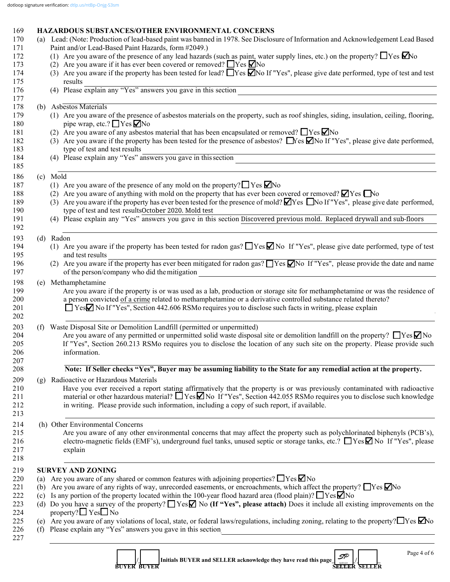|            | dotloop signature verification: dtlp.us/ntBp-Onjg-S3sm                                                                                                                                  |
|------------|-----------------------------------------------------------------------------------------------------------------------------------------------------------------------------------------|
|            |                                                                                                                                                                                         |
| 169        | <b>HAZARDOUS SUBSTANCES/OTHER ENVIRONMENTAL CONCERNS</b>                                                                                                                                |
| 170<br>171 | (a) Lead: (Note: Production of lead-based paint was banned in 1978. See Disclosure of Information and Acknowledgement Lead Based<br>Paint and/or Lead-Based Paint Hazards, form #2049.) |
| 172        | (1) Are you aware of the presence of any lead hazards (such as paint, water supply lines, etc.) on the property? $\Box$ Yes $\Box$ No                                                   |
| 173        | (2) Are you aware if it has ever been covered or removed? $\Box$ Yes $\Box$ No                                                                                                          |
| 174        | (3) Are you aware if the property has been tested for lead? $\Box$ Yes $\Box$ No If "Yes", please give date performed, type of test and test                                            |
| 175        | results                                                                                                                                                                                 |
| 176        | results<br>(4) Please explain any "Yes" answers you gave in this section                                                                                                                |
| 177        |                                                                                                                                                                                         |
| 178        | (b) Asbestos Materials                                                                                                                                                                  |
| 179        | (1) Are you aware of the presence of asbestos materials on the property, such as roof shingles, siding, insulation, ceiling, flooring,                                                  |
| 180        | pipe wrap, etc.? $\Box$ Yes $\nabla$ No                                                                                                                                                 |
| 181        | (2) Are you aware of any asbestos material that has been encapsulated or removed? $\Box$ Yes $\Box$ No                                                                                  |
| 182        | (3) Are you aware if the property has been tested for the presence of asbestos? $\Box$ Nes $\Box$ No If "Yes", please give date performed,                                              |
| 183        | type of test and test results                                                                                                                                                           |
| 184        | (4) Please explain any "Yes" answers you gave in this section                                                                                                                           |
| 185        |                                                                                                                                                                                         |
| 186        | (c) Mold                                                                                                                                                                                |
| 187        | (1) Are you aware of the presence of any mold on the property? $\Box$ Yes $\Box$ No                                                                                                     |
| 188        | (2) Are you aware of anything with mold on the property that has ever been covered or removed? $\Box$ Yes $\Box$ No                                                                     |
| 189        | (3) Are you aware if the property has ever been tested for the presence of mold? Yes No If "Yes", please give date performed,                                                           |
| 190        | type of test and test resultsOctober 2020. Mold test                                                                                                                                    |
| 191<br>192 | (4) Please explain any "Yes" answers you gave in this section Discovered previous mold. Replaced drywall and sub-floors                                                                 |
| 193        | (d) Radon                                                                                                                                                                               |
| 194        | (1) Are you aware if the property has been tested for radon gas? $\Box$ Yes $\Box$ No If "Yes", please give date performed, type of test                                                |
| 195        | and test results                                                                                                                                                                        |
| 196        | (2) Are you aware if the property has ever been mitigated for radon gas? TYes $\nabla$ No If "Yes", please provide the date and name                                                    |
| 197        | of the person/company who did the mitigation<br><u> 1989 - Andrea Andrew Maria (h. 1989).</u>                                                                                           |
| 198        | (e) Methamphetamine                                                                                                                                                                     |
| 199        | Are you aware if the property is or was used as a lab, production or storage site for methamphetamine or was the residence of                                                           |
| 200        | a person convicted of a crime related to methamphetamine or a derivative controlled substance related thereto?                                                                          |
| 201        | □ YesΩ No If "Yes", Section 442.606 RSMo requires you to disclose such facts in writing, please explain                                                                                 |
| 202        |                                                                                                                                                                                         |
| 203        | (f) Waste Disposal Site or Demolition Landfill (permitted or unpermitted)                                                                                                               |
| 204        | Are you aware of any permitted or unpermitted solid waste disposal site or demolition landfill on the property? $\Box$ Yes $\Box$ No                                                    |
| 205        | If "Yes", Section 260.213 RSMo requires you to disclose the location of any such site on the property. Please provide such                                                              |
| 206        | information.                                                                                                                                                                            |
| 207        |                                                                                                                                                                                         |
| 208        | Note: If Seller checks "Yes", Buyer may be assuming liability to the State for any remedial action at the property.                                                                     |

209 (g) Radioactive or Hazardous Materials

210 Have you ever received a report stating affirmatively that the property is or was previously contaminated with radioactive naterial or other hazardous material?  $\Box$  Yes  $\Box$  No If "Yes". Section 442.055 RSMo requires material or other hazardous material?  $\Box$  Yes  $\Box$  No If "Yes", Section 442.055 RSMo requires you to disclose such knowledge 212 in writing. Please provide such information, including a copy of such report, if available.

 $213$ 

214 (h) Other Environmental Concerns

215 Are you aware of any other environmental concerns that may affect the property such as polychlorinated biphenyls (PCB's), 216 electro-magnetic fields (EMF's), underground fuel tanks, unused septic or storage tanks, etc.?  $\Box$  Yes  $\Box$  No If "Yes", please 217 explain

 $218$ 

#### 219 **SURVEY AND ZONING**

- 220 (a) Are you aware of any shared or common features with adjoining properties?  $\Box$  Yes  $\Box$  No
- 221 (b) Are you aware of any rights of way, unrecorded easements, or encroachments, which affect the property?  $\Box$  Yes  $\nabla$  No
- 222 (c) Is any portion of the property located within the 100-year flood hazard area (flood plain)?  $\Box$  Yes  $\Box$  No
- 223 (d) Do you have a survey of the property? Yes **M** No (If "Yes", please attach) Does it include all existing improvements on the 224 property?  $\Box$  Yes  $\Box$  No<br>225 (e) Are you aware of any y
- (e) Are you aware of any violations of local, state, or federal laws/regulations, including zoning, relating to the property?  $\Box$  Yes  $\Box$  No
- 226 (f) Please explain any "Yes" answers you gave in this section<sub>\_</sub>
- $227$

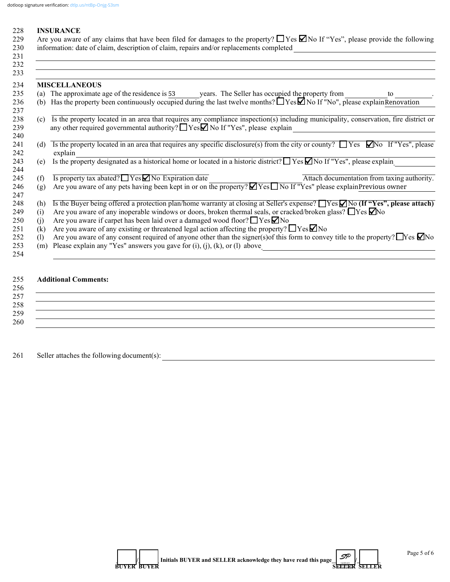#### 228 **INSURANCE**

| 229 | Are you aware of any claims that have been filed for damages to the property? $\Box$ Yes $\Box$ No If "Yes", please provide the following |
|-----|-------------------------------------------------------------------------------------------------------------------------------------------|
|     | 230 information: date of claim, description of claim, repairs and/or replacements completed                                               |
| 231 |                                                                                                                                           |
| 222 |                                                                                                                                           |

Ц.

|     | <b>MISCELLANEOUS</b>                                                                                                                                                                                                             |
|-----|----------------------------------------------------------------------------------------------------------------------------------------------------------------------------------------------------------------------------------|
| (a) | The approximate age of the residence is 53 years. The Seller has occupied the property from<br>to                                                                                                                                |
| (b) | Has the property been continuously occupied during the last twelve months? $\Box$ Yes $\Box$ No If "No", please explain Renovation                                                                                               |
| (c) | Is the property located in an area that requires any compliance inspection(s) including municipality, conservation, fire district or<br>any other required governmental authority? $\Box$ Yes $\Box$ No If "Yes", please explain |
| (d) | Is the property located in an area that requires any specific disclosure(s) from the city or county? $\Box$ Yes $\Box$ Yes'', please<br>explain                                                                                  |
| (e) | Is the property designated as a historical home or located in a historic district? $\Box$ Yes $\Box$ No If "Yes", please explain                                                                                                 |
| (f) | $\overline{Is}$ property tax abated? $\overline{I}$ Yes $\overline{I}$ No Expiration date<br>Attach documentation from taxing authority.                                                                                         |
| (g) | Are you aware of any pets having been kept in or on the property? $\blacktriangleright$ Yes $\blacktriangleright$ No If "Yes" please explain Previous owner                                                                      |
| (h) | Is the Buyer being offered a protection plan/home warranty at closing at Seller's expense? $\Box$ Yes $\Box$ No (If "Yes", please attach)                                                                                        |
| (i) | Are you aware of any inoperable windows or doors, broken thermal seals, or cracked/broken glass? $\Box$ Yes $\Box$ No                                                                                                            |
| (i) | Are you aware if carpet has been laid over a damaged wood floor? $\Box$ Yes $\Box$ No                                                                                                                                            |
| (k) | Are you aware of any existing or threatened legal action affecting the property? $\Box$ Yes $\Box$ No                                                                                                                            |
| (1) | Are you aware of any consent required of anyone other than the signer(s) of this form to convey title to the property? Thes $\Box$ No                                                                                            |
| (m) | Please explain any "Yes" answers you gave for $(i)$ , $(j)$ , $(k)$ , or $(l)$ above                                                                                                                                             |

# 255 **Additional Comments:**

| 256 |  |
|-----|--|
| 257 |  |
| 258 |  |
| 259 |  |
| 260 |  |

261 Seller attaches the following document(s): \_\_\_\_\_\_\_\_\_\_\_\_\_\_\_\_\_\_\_\_\_\_\_\_\_\_\_\_\_\_\_\_\_\_